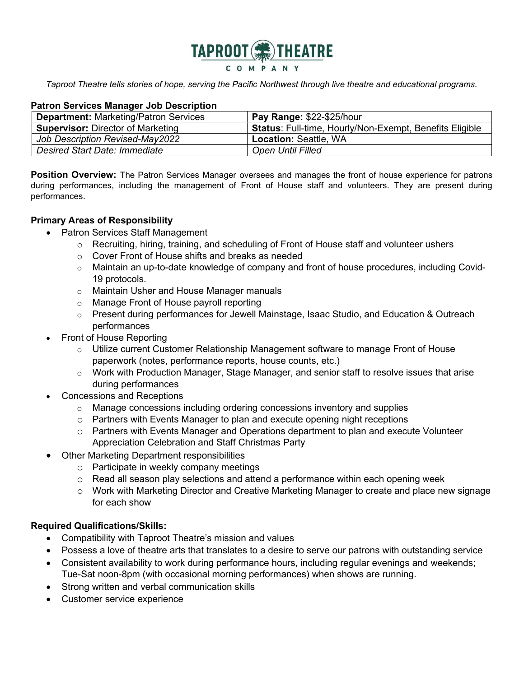

Taproot Theatre tells stories of hope, serving the Pacific Northwest through live theatre and educational programs.

### Patron Services Manager Job Description

| <b>Department: Marketing/Patron Services</b> | Pay Range: \$22-\$25/hour                                      |
|----------------------------------------------|----------------------------------------------------------------|
| <b>Supervisor: Director of Marketing</b>     | <b>Status:</b> Full-time, Hourly/Non-Exempt, Benefits Eligible |
| Job Description Revised-May2022              | <b>Location: Seattle, WA</b>                                   |
| Desired Start Date: Immediate                | <b>Open Until Filled</b>                                       |

**Position Overview:** The Patron Services Manager oversees and manages the front of house experience for patrons during performances, including the management of Front of House staff and volunteers. They are present during performances.

### Primary Areas of Responsibility

- Patron Services Staff Management
	- o Recruiting, hiring, training, and scheduling of Front of House staff and volunteer ushers
	- o Cover Front of House shifts and breaks as needed
	- o Maintain an up-to-date knowledge of company and front of house procedures, including Covid-19 protocols.
	- o Maintain Usher and House Manager manuals
	- o Manage Front of House payroll reporting
	- $\circ$  Present during performances for Jewell Mainstage, Isaac Studio, and Education & Outreach performances
- Front of House Reporting
	- $\circ$  Utilize current Customer Relationship Management software to manage Front of House paperwork (notes, performance reports, house counts, etc.)
	- $\circ$  Work with Production Manager, Stage Manager, and senior staff to resolve issues that arise during performances
- Concessions and Receptions
	- $\circ$  Manage concessions including ordering concessions inventory and supplies
	- o Partners with Events Manager to plan and execute opening night receptions
	- o Partners with Events Manager and Operations department to plan and execute Volunteer Appreciation Celebration and Staff Christmas Party
- Other Marketing Department responsibilities
	- o Participate in weekly company meetings
	- o Read all season play selections and attend a performance within each opening week
	- o Work with Marketing Director and Creative Marketing Manager to create and place new signage for each show

## Required Qualifications/Skills:

- Compatibility with Taproot Theatre's mission and values
- Possess a love of theatre arts that translates to a desire to serve our patrons with outstanding service
- Consistent availability to work during performance hours, including regular evenings and weekends; Tue-Sat noon-8pm (with occasional morning performances) when shows are running.
- Strong written and verbal communication skills
- Customer service experience